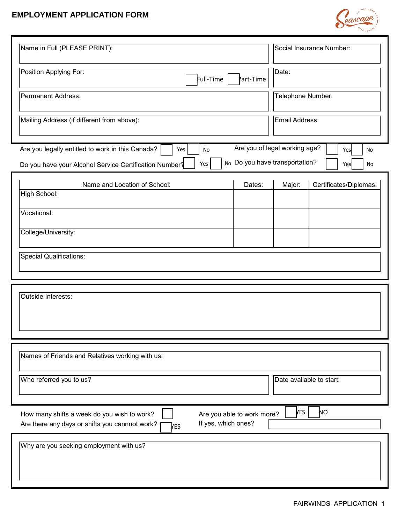## **EMPLOYMENT APPLICATION FORM**



| Name in Full (PLEASE PRINT):                                                                                                                                                  | Social Insurance Number:                                |  |  |  |  |
|-------------------------------------------------------------------------------------------------------------------------------------------------------------------------------|---------------------------------------------------------|--|--|--|--|
| Position Applying For:<br>Full-Time                                                                                                                                           | Date:<br>Part-Time                                      |  |  |  |  |
| <b>Permanent Address:</b>                                                                                                                                                     | Telephone Number:                                       |  |  |  |  |
| Mailing Address (if different from above):                                                                                                                                    | Email Address:                                          |  |  |  |  |
| Are you of legal working age?<br>Are you legally entitled to work in this Canada?<br>Yes<br>No<br>Yes<br>No<br>No Do you have transportation?<br>Yes                          |                                                         |  |  |  |  |
| Do you have your Alcohol Service Certification Number?<br>Name and Location of School:                                                                                        | Yes<br>No<br>Certificates/Diplomas:<br>Major:<br>Dates: |  |  |  |  |
| High School:                                                                                                                                                                  |                                                         |  |  |  |  |
| Vocational:                                                                                                                                                                   |                                                         |  |  |  |  |
| College/University:                                                                                                                                                           |                                                         |  |  |  |  |
| <b>Special Qualifications:</b>                                                                                                                                                |                                                         |  |  |  |  |
| Outside Interests:                                                                                                                                                            |                                                         |  |  |  |  |
| Names of Friends and Relatives working with us:                                                                                                                               |                                                         |  |  |  |  |
| Who referred you to us?<br>Date available to start:                                                                                                                           |                                                         |  |  |  |  |
| <b>YES</b><br>NΟ<br>How many shifts a week do you wish to work?<br>Are you able to work more?<br>If yes, which ones?<br>Are there any days or shifts you cannnot work?<br>res |                                                         |  |  |  |  |
| Why are you seeking employment with us?                                                                                                                                       |                                                         |  |  |  |  |